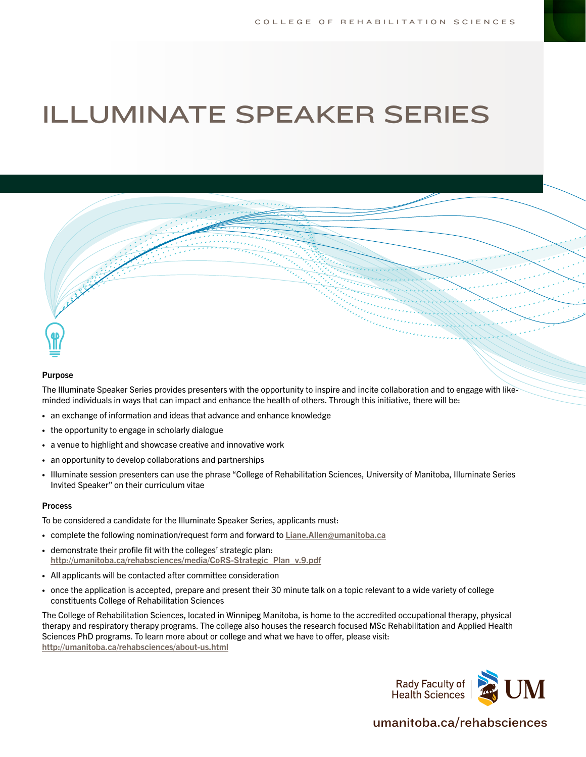## ILLUMINATE SPEAKER SERIES



## Purpose

The Illuminate Speaker Series provides presenters with the opportunity to inspire and incite collaboration and to engage with likeminded individuals in ways that can impact and enhance the health of others. Through this initiative, there will be:

- **•** an exchange of information and ideas that advance and enhance knowledge
- **•** the opportunity to engage in scholarly dialogue
- **•** a venue to highlight and showcase creative and innovative work
- **•** an opportunity to develop collaborations and partnerships
- **•** Illuminate session presenters can use the phrase "College of Rehabilitation Sciences, University of Manitoba, Illuminate Series Invited Speaker" on their curriculum vitae

## Process

To be considered a candidate for the Illuminate Speaker Series, applicants must:

- **•** complete the following nomination/request form and forward to [Liane.Allen@umanitoba.ca](mailto:Liane.Allen%40umanitoba.ca?subject=)
- **•** demonstrate their profile fit with the colleges' strategic plan: [http://umanitoba.ca/rehabsciences/media/CoRS-Strategic\\_Plan\\_v.9.pdf](http://umanitoba.ca/rehabsciences/media/CoRS-Strategic_Plan_v.9.pdf)
- **•** All applicants will be contacted after committee consideration
- **•** once the application is accepted, prepare and present their 30 minute talk on a topic relevant to a wide variety of college constituents College of Rehabilitation Sciences

The College of Rehabilitation Sciences, located in Winnipeg Manitoba, is home to the accredited occupational therapy, physical therapy and respiratory therapy programs. The college also houses the research focused MSc Rehabilitation and Applied Health Sciences PhD programs. To learn more about or college and what we have to offer, please visit: <http://umanitoba.ca/rehabsciences/about-us.html>



## [umanitoba.ca/r](https://umanitoba.ca/rehabsciences)ehabsciences